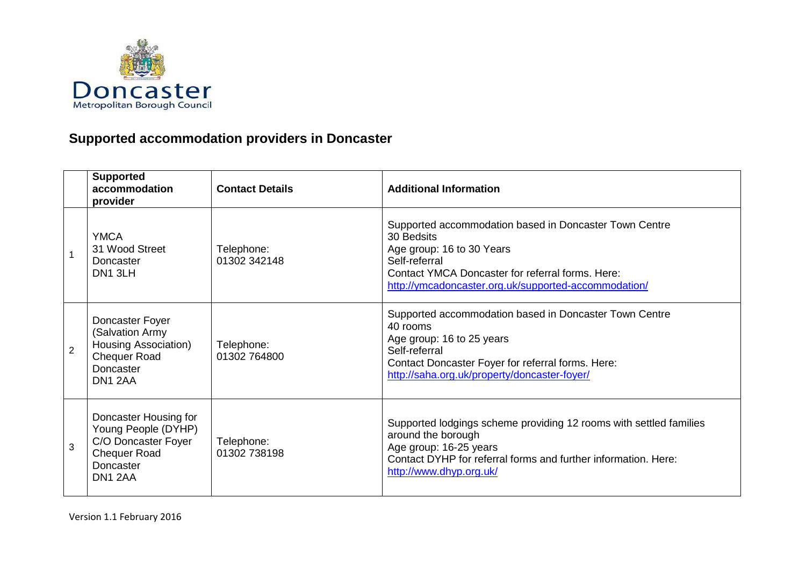

## **Supported accommodation providers in Doncaster**

|                | <b>Supported</b><br>accommodation<br>provider                                                                      | <b>Contact Details</b>     | <b>Additional Information</b>                                                                                                                                                                                                  |
|----------------|--------------------------------------------------------------------------------------------------------------------|----------------------------|--------------------------------------------------------------------------------------------------------------------------------------------------------------------------------------------------------------------------------|
|                | <b>YMCA</b><br>31 Wood Street<br>Doncaster<br>DN1 3LH                                                              | Telephone:<br>01302 342148 | Supported accommodation based in Doncaster Town Centre<br>30 Bedsits<br>Age group: 16 to 30 Years<br>Self-referral<br>Contact YMCA Doncaster for referral forms. Here:<br>http://ymcadoncaster.org.uk/supported-accommodation/ |
| $\overline{2}$ | Doncaster Foyer<br>(Salvation Army<br>Housing Association)<br><b>Chequer Road</b><br>Doncaster<br>DN1 2AA          | Telephone:<br>01302 764800 | Supported accommodation based in Doncaster Town Centre<br>40 rooms<br>Age group: 16 to 25 years<br>Self-referral<br>Contact Doncaster Foyer for referral forms. Here:<br>http://saha.org.uk/property/doncaster-foyer/          |
| 3              | Doncaster Housing for<br>Young People (DYHP)<br>C/O Doncaster Foyer<br><b>Chequer Road</b><br>Doncaster<br>DN1 2AA | Telephone:<br>01302 738198 | Supported lodgings scheme providing 12 rooms with settled families<br>around the borough<br>Age group: 16-25 years<br>Contact DYHP for referral forms and further information. Here:<br>http://www.dhyp.org.uk/                |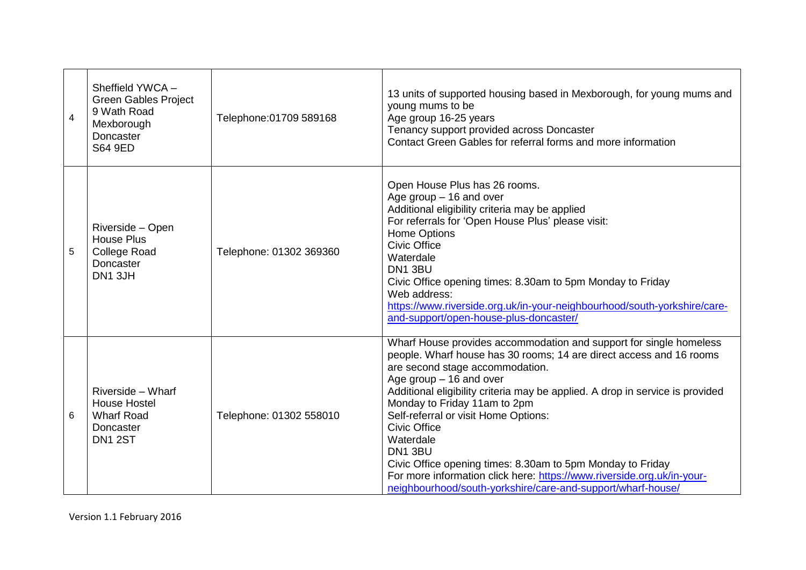| 4 | Sheffield YWCA -<br><b>Green Gables Project</b><br>9 Wath Road<br>Mexborough<br>Doncaster<br><b>S64 9ED</b> | Telephone: 01709 589168 | 13 units of supported housing based in Mexborough, for young mums and<br>young mums to be<br>Age group 16-25 years<br>Tenancy support provided across Doncaster<br>Contact Green Gables for referral forms and more information                                                                                                                                                                                                                                                                                                                                                                                         |
|---|-------------------------------------------------------------------------------------------------------------|-------------------------|-------------------------------------------------------------------------------------------------------------------------------------------------------------------------------------------------------------------------------------------------------------------------------------------------------------------------------------------------------------------------------------------------------------------------------------------------------------------------------------------------------------------------------------------------------------------------------------------------------------------------|
| 5 | Riverside - Open<br><b>House Plus</b><br><b>College Road</b><br>Doncaster<br>DN1 3JH                        | Telephone: 01302 369360 | Open House Plus has 26 rooms.<br>Age group $-16$ and over<br>Additional eligibility criteria may be applied<br>For referrals for 'Open House Plus' please visit:<br><b>Home Options</b><br><b>Civic Office</b><br>Waterdale<br>DN1 3BU<br>Civic Office opening times: 8.30am to 5pm Monday to Friday<br>Web address:<br>https://www.riverside.org.uk/in-your-neighbourhood/south-yorkshire/care-<br>and-support/open-house-plus-doncaster/                                                                                                                                                                              |
| 6 | Riverside - Wharf<br><b>House Hostel</b><br><b>Wharf Road</b><br>Doncaster<br><b>DN1 2ST</b>                | Telephone: 01302 558010 | Wharf House provides accommodation and support for single homeless<br>people. Wharf house has 30 rooms; 14 are direct access and 16 rooms<br>are second stage accommodation.<br>Age group $-16$ and over<br>Additional eligibility criteria may be applied. A drop in service is provided<br>Monday to Friday 11am to 2pm<br>Self-referral or visit Home Options:<br><b>Civic Office</b><br>Waterdale<br>DN1 3BU<br>Civic Office opening times: 8.30am to 5pm Monday to Friday<br>For more information click here: https://www.riverside.org.uk/in-your-<br>neighbourhood/south-yorkshire/care-and-support/wharf-house/ |